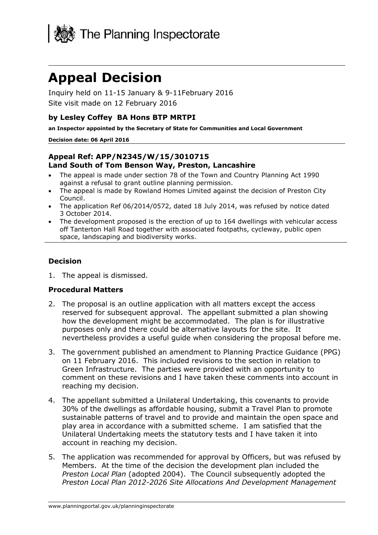

# **Appeal Decision**

Inquiry held on 11-15 January & 9-11February 2016 Site visit made on 12 February 2016

### **by Lesley Coffey BA Hons BTP MRTPI**

**an Inspector appointed by the Secretary of State for Communities and Local Government**

#### **Decision date: 06 April 2016**

#### **Appeal Ref: APP/N2345/W/15/3010715 Land South of Tom Benson Way, Preston, Lancashire**

- The appeal is made under section 78 of the Town and Country Planning Act 1990 against a refusal to grant outline planning permission.
- The appeal is made by Rowland Homes Limited against the decision of Preston City Council.
- The application Ref 06/2014/0572, dated 18 July 2014, was refused by notice dated 3 October 2014.
- The development proposed is the erection of up to 164 dwellings with vehicular access off Tanterton Hall Road together with associated footpaths, cycleway, public open space, landscaping and biodiversity works.

# **Decision**

1. The appeal is dismissed.

#### **Procedural Matters**

- 2. The proposal is an outline application with all matters except the access reserved for subsequent approval. The appellant submitted a plan showing how the development might be accommodated. The plan is for illustrative purposes only and there could be alternative layouts for the site. It nevertheless provides a useful guide when considering the proposal before me.
- 3. The government published an amendment to Planning Practice Guidance (PPG) on 11 February 2016. This included revisions to the section in relation to Green Infrastructure. The parties were provided with an opportunity to comment on these revisions and I have taken these comments into account in reaching my decision.
- 4. The appellant submitted a Unilateral Undertaking, this covenants to provide 30% of the dwellings as affordable housing, submit a Travel Plan to promote sustainable patterns of travel and to provide and maintain the open space and play area in accordance with a submitted scheme. I am satisfied that the Unilateral Undertaking meets the statutory tests and I have taken it into account in reaching my decision.
- 5. The application was recommended for approval by Officers, but was refused by Members. At the time of the decision the development plan included the *Preston Local Plan* (adopted 2004). The Council subsequently adopted the *Preston Local Plan 2012-2026 Site Allocations And Development Management*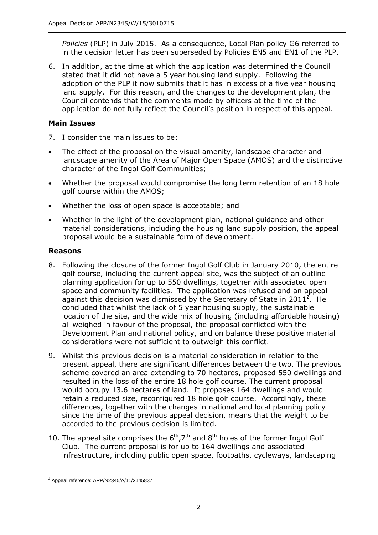*Policies* (PLP) in July 2015. As a consequence, Local Plan policy G6 referred to in the decision letter has been superseded by Policies EN5 and EN1 of the PLP.

6. In addition, at the time at which the application was determined the Council stated that it did not have a 5 year housing land supply. Following the adoption of the PLP it now submits that it has in excess of a five year housing land supply. For this reason, and the changes to the development plan, the Council contends that the comments made by officers at the time of the application do not fully reflect the Council's position in respect of this appeal.

# **Main Issues**

- 7. I consider the main issues to be:
- The effect of the proposal on the visual amenity, landscape character and landscape amenity of the Area of Major Open Space (AMOS) and the distinctive character of the Ingol Golf Communities;
- Whether the proposal would compromise the long term retention of an 18 hole golf course within the AMOS;
- Whether the loss of open space is acceptable; and
- Whether in the light of the development plan, national guidance and other material considerations, including the housing land supply position, the appeal proposal would be a sustainable form of development.

# **Reasons**

- 8. Following the closure of the former Ingol Golf Club in January 2010, the entire golf course, including the current appeal site, was the subject of an outline planning application for up to 550 dwellings, together with associated open space and community facilities. The application was refused and an appeal against this decision was dismissed by the Secretary of State in 2011<sup>2</sup>. He concluded that whilst the lack of 5 year housing supply, the sustainable location of the site, and the wide mix of housing (including affordable housing) all weighed in favour of the proposal, the proposal conflicted with the Development Plan and national policy, and on balance these positive material considerations were not sufficient to outweigh this conflict.
- 9. Whilst this previous decision is a material consideration in relation to the present appeal, there are significant differences between the two. The previous scheme covered an area extending to 70 hectares, proposed 550 dwellings and resulted in the loss of the entire 18 hole golf course. The current proposal would occupy 13.6 hectares of land. It proposes 164 dwellings and would retain a reduced size, reconfigured 18 hole golf course. Accordingly, these differences, together with the changes in national and local planning policy since the time of the previous appeal decision, means that the weight to be accorded to the previous decision is limited.
- 10. The appeal site comprises the  $6<sup>th</sup>, 7<sup>th</sup>$  and  $8<sup>th</sup>$  holes of the former Ingol Golf Club. The current proposal is for up to 164 dwellings and associated infrastructure, including public open space, footpaths, cycleways, landscaping

-

 $2$  Appeal reference: APP/N2345/A/11/2145837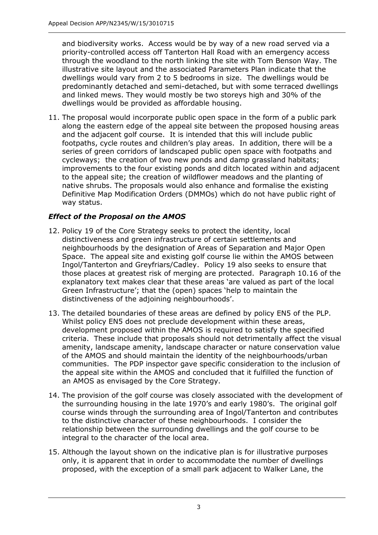and biodiversity works. Access would be by way of a new road served via a priority-controlled access off Tanterton Hall Road with an emergency access through the woodland to the north linking the site with Tom Benson Way. The illustrative site layout and the associated Parameters Plan indicate that the dwellings would vary from 2 to 5 bedrooms in size. The dwellings would be predominantly detached and semi-detached, but with some terraced dwellings and linked mews. They would mostly be two storeys high and 30% of the dwellings would be provided as affordable housing.

11. The proposal would incorporate public open space in the form of a public park along the eastern edge of the appeal site between the proposed housing areas and the adjacent golf course. It is intended that this will include public footpaths, cycle routes and children's play areas. In addition, there will be a series of green corridors of landscaped public open space with footpaths and cycleways; the creation of two new ponds and damp grassland habitats; improvements to the four existing ponds and ditch located within and adjacent to the appeal site; the creation of wildflower meadows and the planting of native shrubs. The proposals would also enhance and formalise the existing Definitive Map Modification Orders (DMMOs) which do not have public right of way status.

# *Effect of the Proposal on the AMOS*

- 12. Policy 19 of the Core Strategy seeks to protect the identity, local distinctiveness and green infrastructure of certain settlements and neighbourhoods by the designation of Areas of Separation and Major Open Space. The appeal site and existing golf course lie within the AMOS between Ingol/Tanterton and Greyfriars/Cadley. Policy 19 also seeks to ensure that those places at greatest risk of merging are protected. Paragraph 10.16 of the explanatory text makes clear that these areas 'are valued as part of the local Green Infrastructure'; that the (open) spaces 'help to maintain the distinctiveness of the adjoining neighbourhoods'.
- 13. The detailed boundaries of these areas are defined by policy EN5 of the PLP. Whilst policy EN5 does not preclude development within these areas, development proposed within the AMOS is required to satisfy the specified criteria. These include that proposals should not detrimentally affect the visual amenity, landscape amenity, landscape character or nature conservation value of the AMOS and should maintain the identity of the neighbourhoods/urban communities. The PDP inspector gave specific consideration to the inclusion of the appeal site within the AMOS and concluded that it fulfilled the function of an AMOS as envisaged by the Core Strategy.
- 14. The provision of the golf course was closely associated with the development of the surrounding housing in the late 1970's and early 1980's. The original golf course winds through the surrounding area of Ingol/Tanterton and contributes to the distinctive character of these neighbourhoods. I consider the relationship between the surrounding dwellings and the golf course to be integral to the character of the local area.
- 15. Although the layout shown on the indicative plan is for illustrative purposes only, it is apparent that in order to accommodate the number of dwellings proposed, with the exception of a small park adjacent to Walker Lane, the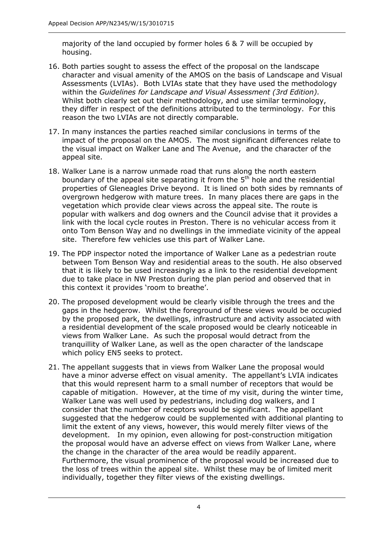majority of the land occupied by former holes 6 & 7 will be occupied by housing.

- 16. Both parties sought to assess the effect of the proposal on the landscape character and visual amenity of the AMOS on the basis of Landscape and Visual Assessments (LVIAs). Both LVIAs state that they have used the methodology within the *Guidelines for Landscape and Visual Assessment (3rd Edition).* Whilst both clearly set out their methodology, and use similar terminology, they differ in respect of the definitions attributed to the terminology. For this reason the two LVIAs are not directly comparable.
- 17. In many instances the parties reached similar conclusions in terms of the impact of the proposal on the AMOS. The most significant differences relate to the visual impact on Walker Lane and The Avenue, and the character of the appeal site.
- 18. Walker Lane is a narrow unmade road that runs along the north eastern boundary of the appeal site separating it from the  $5<sup>th</sup>$  hole and the residential properties of Gleneagles Drive beyond. It is lined on both sides by remnants of overgrown hedgerow with mature trees. In many places there are gaps in the vegetation which provide clear views across the appeal site. The route is popular with walkers and dog owners and the Council advise that it provides a link with the local cycle routes in Preston. There is no vehicular access from it onto Tom Benson Way and no dwellings in the immediate vicinity of the appeal site. Therefore few vehicles use this part of Walker Lane.
- 19. The PDP inspector noted the importance of Walker Lane as a pedestrian route between Tom Benson Way and residential areas to the south. He also observed that it is likely to be used increasingly as a link to the residential development due to take place in NW Preston during the plan period and observed that in this context it provides 'room to breathe'.
- 20. The proposed development would be clearly visible through the trees and the gaps in the hedgerow. Whilst the foreground of these views would be occupied by the proposed park, the dwellings, infrastructure and activity associated with a residential development of the scale proposed would be clearly noticeable in views from Walker Lane. As such the proposal would detract from the tranquillity of Walker Lane, as well as the open character of the landscape which policy EN5 seeks to protect.
- 21. The appellant suggests that in views from Walker Lane the proposal would have a minor adverse effect on visual amenity. The appellant's LVIA indicates that this would represent harm to a small number of receptors that would be capable of mitigation. However, at the time of my visit, during the winter time, Walker Lane was well used by pedestrians, including dog walkers, and I consider that the number of receptors would be significant. The appellant suggested that the hedgerow could be supplemented with additional planting to limit the extent of any views, however, this would merely filter views of the development. In my opinion, even allowing for post-construction mitigation the proposal would have an adverse effect on views from Walker Lane, where the change in the character of the area would be readily apparent. Furthermore, the visual prominence of the proposal would be increased due to the loss of trees within the appeal site. Whilst these may be of limited merit individually, together they filter views of the existing dwellings.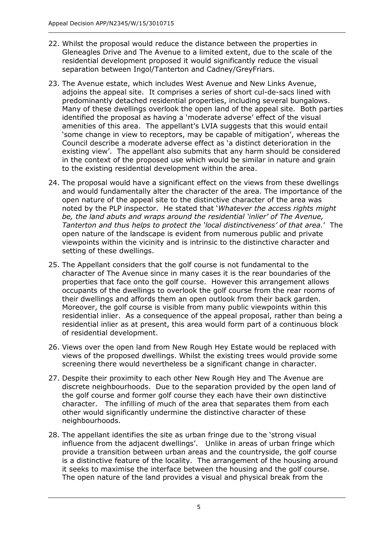- 22. Whilst the proposal would reduce the distance between the properties in Gleneagles Drive and The Avenue to a limited extent, due to the scale of the residential development proposed it would significantly reduce the visual separation between Ingol/Tanterton and Cadney/GreyFriars.
- 23. The Avenue estate, which includes West Avenue and New Links Avenue, adjoins the appeal site. It comprises a series of short cul-de-sacs lined with predominantly detached residential properties, including several bungalows. Many of these dwellings overlook the open land of the appeal site. Both parties identified the proposal as having a 'moderate adverse' effect of the visual amenities of this area. The appellant's LVIA suggests that this would entail 'some change in view to receptors, may be capable of mitigation', whereas the Council describe a moderate adverse effect as 'a distinct deterioration in the existing view'. The appellant also submits that any harm should be considered in the context of the proposed use which would be similar in nature and grain to the existing residential development within the area.
- 24. The proposal would have a significant effect on the views from these dwellings and would fundamentally alter the character of the area. The importance of the open nature of the appeal site to the distinctive character of the area was noted by the PLP inspector. He stated that '*Whatever the access rights might be, the land abuts and wraps around the residential 'inlier' of The Avenue, Tanterton and thus helps to protect the 'local distinctiveness' of that area.*' The open nature of the landscape is evident from numerous public and private viewpoints within the vicinity and is intrinsic to the distinctive character and setting of these dwellings.
- 25. The Appellant considers that the golf course is not fundamental to the character of The Avenue since in many cases it is the rear boundaries of the properties that face onto the golf course. However this arrangement allows occupants of the dwellings to overlook the golf course from the rear rooms of their dwellings and affords them an open outlook from their back garden. Moreover, the golf course is visible from many public viewpoints within this residential inlier. As a consequence of the appeal proposal, rather than being a residential inlier as at present, this area would form part of a continuous block of residential development.
- 26. Views over the open land from New Rough Hey Estate would be replaced with views of the proposed dwellings. Whilst the existing trees would provide some screening there would nevertheless be a significant change in character.
- 27. Despite their proximity to each other New Rough Hey and The Avenue are discrete neighbourhoods. Due to the separation provided by the open land of the golf course and former golf course they each have their own distinctive character. The infilling of much of the area that separates them from each other would significantly undermine the distinctive character of these neighbourhoods.
- 28. The appellant identifies the site as urban fringe due to the 'strong visual influence from the adjacent dwellings'. Unlike in areas of urban fringe which provide a transition between urban areas and the countryside, the golf course is a distinctive feature of the locality. The arrangement of the housing around it seeks to maximise the interface between the housing and the golf course. The open nature of the land provides a visual and physical break from the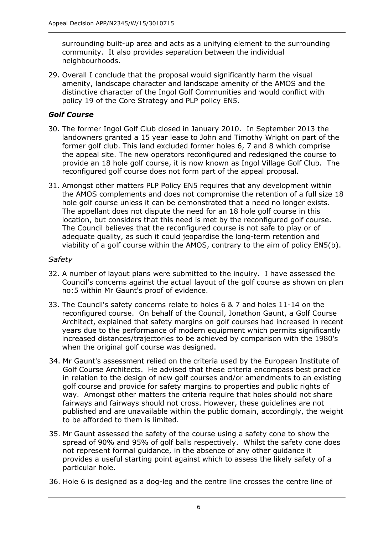surrounding built-up area and acts as a unifying element to the surrounding community. It also provides separation between the individual neighbourhoods.

29. Overall I conclude that the proposal would significantly harm the visual amenity, landscape character and landscape amenity of the AMOS and the distinctive character of the Ingol Golf Communities and would conflict with policy 19 of the Core Strategy and PLP policy EN5.

## *Golf Course*

- 30. The former Ingol Golf Club closed in January 2010. In September 2013 the landowners granted a 15 year lease to John and Timothy Wright on part of the former golf club. This land excluded former holes 6, 7 and 8 which comprise the appeal site. The new operators reconfigured and redesigned the course to provide an 18 hole golf course, it is now known as Ingol Village Golf Club. The reconfigured golf course does not form part of the appeal proposal.
- 31. Amongst other matters PLP Policy EN5 requires that any development within the AMOS complements and does not compromise the retention of a full size 18 hole golf course unless it can be demonstrated that a need no longer exists. The appellant does not dispute the need for an 18 hole golf course in this location, but considers that this need is met by the reconfigured golf course. The Council believes that the reconfigured course is not safe to play or of adequate quality, as such it could jeopardise the long-term retention and viability of a golf course within the AMOS, contrary to the aim of policy EN5(b).

#### *Safety*

- 32. A number of layout plans were submitted to the inquiry. I have assessed the Council's concerns against the actual layout of the golf course as shown on plan no:5 within Mr Gaunt's proof of evidence.
- 33. The Council's safety concerns relate to holes 6 & 7 and holes 11-14 on the reconfigured course. On behalf of the Council, Jonathon Gaunt, a Golf Course Architect, explained that safety margins on golf courses had increased in recent years due to the performance of modern equipment which permits significantly increased distances/trajectories to be achieved by comparison with the 1980's when the original golf course was designed.
- 34. Mr Gaunt's assessment relied on the criteria used by the European Institute of Golf Course Architects. He advised that these criteria encompass best practice in relation to the design of new golf courses and/or amendments to an existing golf course and provide for safety margins to properties and public rights of way. Amongst other matters the criteria require that holes should not share fairways and fairways should not cross. However, these guidelines are not published and are unavailable within the public domain, accordingly, the weight to be afforded to them is limited.
- 35. Mr Gaunt assessed the safety of the course using a safety cone to show the spread of 90% and 95% of golf balls respectively. Whilst the safety cone does not represent formal guidance, in the absence of any other guidance it provides a useful starting point against which to assess the likely safety of a particular hole.
- 36. Hole 6 is designed as a dog-leg and the centre line crosses the centre line of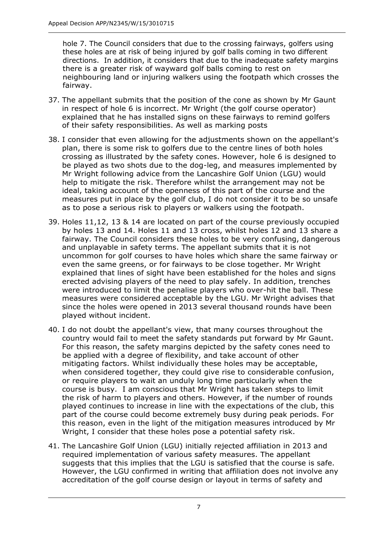hole 7. The Council considers that due to the crossing fairways, golfers using these holes are at risk of being injured by golf balls coming in two different directions. In addition, it considers that due to the inadequate safety margins there is a greater risk of wayward golf balls coming to rest on neighbouring land or injuring walkers using the footpath which crosses the fairway.

- 37. The appellant submits that the position of the cone as shown by Mr Gaunt in respect of hole 6 is incorrect. Mr Wright (the golf course operator) explained that he has installed signs on these fairways to remind golfers of their safety responsibilities. As well as marking posts
- 38. I consider that even allowing for the adjustments shown on the appellant's plan, there is some risk to golfers due to the centre lines of both holes crossing as illustrated by the safety cones. However, hole 6 is designed to be played as two shots due to the dog-leg, and measures implemented by Mr Wright following advice from the Lancashire Golf Union (LGU) would help to mitigate the risk. Therefore whilst the arrangement may not be ideal, taking account of the openness of this part of the course and the measures put in place by the golf club, I do not consider it to be so unsafe as to pose a serious risk to players or walkers using the footpath.
- 39. Holes 11,12, 13 & 14 are located on part of the course previously occupied by holes 13 and 14. Holes 11 and 13 cross, whilst holes 12 and 13 share a fairway. The Council considers these holes to be very confusing, dangerous and unplayable in safety terms. The appellant submits that it is not uncommon for golf courses to have holes which share the same fairway or even the same greens, or for fairways to be close together. Mr Wright explained that lines of sight have been established for the holes and signs erected advising players of the need to play safely. In addition, trenches were introduced to limit the penalise players who over-hit the ball. These measures were considered acceptable by the LGU. Mr Wright advises that since the holes were opened in 2013 several thousand rounds have been played without incident.
- 40. I do not doubt the appellant's view, that many courses throughout the country would fail to meet the safety standards put forward by Mr Gaunt. For this reason, the safety margins depicted by the safety cones need to be applied with a degree of flexibility, and take account of other mitigating factors. Whilst individually these holes may be acceptable, when considered together, they could give rise to considerable confusion, or require players to wait an unduly long time particularly when the course is busy. I am conscious that Mr Wright has taken steps to limit the risk of harm to players and others. However, if the number of rounds played continues to increase in line with the expectations of the club, this part of the course could become extremely busy during peak periods. For this reason, even in the light of the mitigation measures introduced by Mr Wright, I consider that these holes pose a potential safety risk.
- 41. The Lancashire Golf Union (LGU) initially rejected affiliation in 2013 and required implementation of various safety measures. The appellant suggests that this implies that the LGU is satisfied that the course is safe. However, the LGU confirmed in writing that affiliation does not involve any accreditation of the golf course design or layout in terms of safety and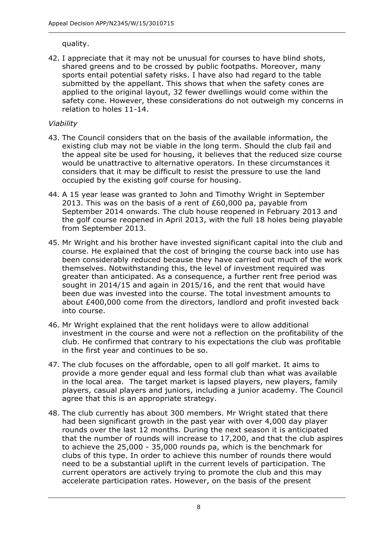quality.

42. I appreciate that it may not be unusual for courses to have blind shots, shared greens and to be crossed by public footpaths. Moreover, many sports entail potential safety risks. I have also had regard to the table submitted by the appellant. This shows that when the safety cones are applied to the original layout, 32 fewer dwellings would come within the safety cone. However, these considerations do not outweigh my concerns in relation to holes 11-14.

# *Viability*

- 43. The Council considers that on the basis of the available information, the existing club may not be viable in the long term. Should the club fail and the appeal site be used for housing, it believes that the reduced size course would be unattractive to alternative operators. In these circumstances it considers that it may be difficult to resist the pressure to use the land occupied by the existing golf course for housing.
- 44. A 15 year lease was granted to John and Timothy Wright in September 2013. This was on the basis of a rent of £60,000 pa, payable from September 2014 onwards. The club house reopened in February 2013 and the golf course reopened in April 2013, with the full 18 holes being playable from September 2013.
- 45. Mr Wright and his brother have invested significant capital into the club and course. He explained that the cost of bringing the course back into use has been considerably reduced because they have carried out much of the work themselves. Notwithstanding this, the level of investment required was greater than anticipated. As a consequence, a further rent free period was sought in 2014/15 and again in 2015/16, and the rent that would have been due was invested into the course. The total investment amounts to about £400,000 come from the directors, landlord and profit invested back into course.
- 46. Mr Wright explained that the rent holidays were to allow additional investment in the course and were not a reflection on the profitability of the club. He confirmed that contrary to his expectations the club was profitable in the first year and continues to be so.
- 47. The club focuses on the affordable, open to all golf market. It aims to provide a more gender equal and less formal club than what was available in the local area. The target market is lapsed players, new players, family players, casual players and juniors, including a junior academy. The Council agree that this is an appropriate strategy.
- 48. The club currently has about 300 members. Mr Wright stated that there had been significant growth in the past year with over 4,000 day player rounds over the last 12 months. During the next season it is anticipated that the number of rounds will increase to 17,200, and that the club aspires to achieve the 25,000 - 35,000 rounds pa, which is the benchmark for clubs of this type. In order to achieve this number of rounds there would need to be a substantial uplift in the current levels of participation. The current operators are actively trying to promote the club and this may accelerate participation rates. However, on the basis of the present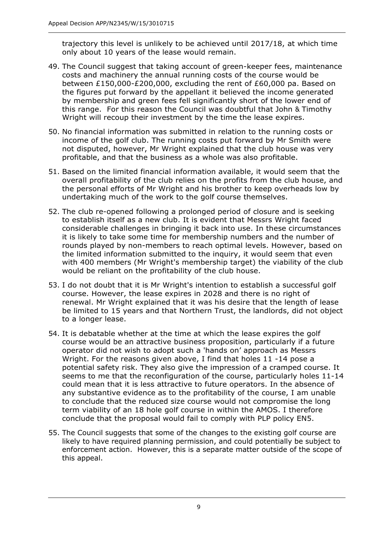trajectory this level is unlikely to be achieved until 2017/18, at which time only about 10 years of the lease would remain.

- 49. The Council suggest that taking account of green-keeper fees, maintenance costs and machinery the annual running costs of the course would be between £150,000-£200,000, excluding the rent of £60,000 pa. Based on the figures put forward by the appellant it believed the income generated by membership and green fees fell significantly short of the lower end of this range. For this reason the Council was doubtful that John & Timothy Wright will recoup their investment by the time the lease expires.
- 50. No financial information was submitted in relation to the running costs or income of the golf club. The running costs put forward by Mr Smith were not disputed, however, Mr Wright explained that the club house was very profitable, and that the business as a whole was also profitable.
- 51. Based on the limited financial information available, it would seem that the overall profitability of the club relies on the profits from the club house, and the personal efforts of Mr Wright and his brother to keep overheads low by undertaking much of the work to the golf course themselves.
- 52. The club re-opened following a prolonged period of closure and is seeking to establish itself as a new club. It is evident that Messrs Wright faced considerable challenges in bringing it back into use. In these circumstances it is likely to take some time for membership numbers and the number of rounds played by non-members to reach optimal levels. However, based on the limited information submitted to the inquiry, it would seem that even with 400 members (Mr Wright's membership target) the viability of the club would be reliant on the profitability of the club house.
- 53. I do not doubt that it is Mr Wright's intention to establish a successful golf course. However, the lease expires in 2028 and there is no right of renewal. Mr Wright explained that it was his desire that the length of lease be limited to 15 years and that Northern Trust, the landlords, did not object to a longer lease.
- 54. It is debatable whether at the time at which the lease expires the golf course would be an attractive business proposition, particularly if a future operator did not wish to adopt such a 'hands on' approach as Messrs Wright. For the reasons given above, I find that holes 11 -14 pose a potential safety risk. They also give the impression of a cramped course. It seems to me that the reconfiguration of the course, particularly holes 11-14 could mean that it is less attractive to future operators. In the absence of any substantive evidence as to the profitability of the course, I am unable to conclude that the reduced size course would not compromise the long term viability of an 18 hole golf course in within the AMOS. I therefore conclude that the proposal would fail to comply with PLP policy EN5.
- 55. The Council suggests that some of the changes to the existing golf course are likely to have required planning permission, and could potentially be subject to enforcement action. However, this is a separate matter outside of the scope of this appeal.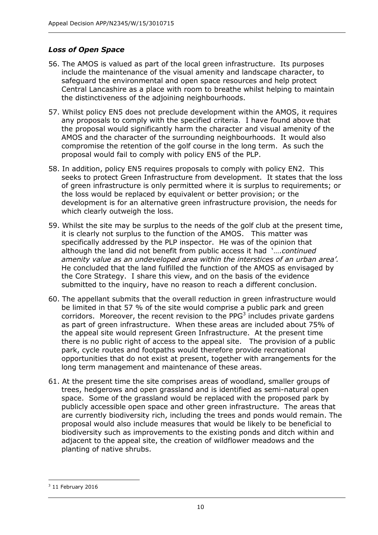## *Loss of Open Space*

- 56. The AMOS is valued as part of the local green infrastructure. Its purposes include the maintenance of the visual amenity and landscape character, to safeguard the environmental and open space resources and help protect Central Lancashire as a place with room to breathe whilst helping to maintain the distinctiveness of the adjoining neighbourhoods.
- 57. Whilst policy EN5 does not preclude development within the AMOS, it requires any proposals to comply with the specified criteria. I have found above that the proposal would significantly harm the character and visual amenity of the AMOS and the character of the surrounding neighbourhoods. It would also compromise the retention of the golf course in the long term. As such the proposal would fail to comply with policy EN5 of the PLP.
- 58. In addition, policy EN5 requires proposals to comply with policy EN2. This seeks to protect Green Infrastructure from development. It states that the loss of green infrastructure is only permitted where it is surplus to requirements; or the loss would be replaced by equivalent or better provision; or the development is for an alternative green infrastructure provision, the needs for which clearly outweigh the loss.
- 59. Whilst the site may be surplus to the needs of the golf club at the present time, it is clearly not surplus to the function of the AMOS. This matter was specifically addressed by the PLP inspector. He was of the opinion that although the land did not benefit from public access it had '….*continued amenity value as an undeveloped area within the interstices of an urban area'.*  He concluded that the land fulfilled the function of the AMOS as envisaged by the Core Strategy. I share this view, and on the basis of the evidence submitted to the inquiry, have no reason to reach a different conclusion.
- 60. The appellant submits that the overall reduction in green infrastructure would be limited in that 57 % of the site would comprise a public park and green corridors. Moreover, the recent revision to the PP $G<sup>3</sup>$  includes private gardens as part of green infrastructure. When these areas are included about 75% of the appeal site would represent Green Infrastructure. At the present time there is no public right of access to the appeal site. The provision of a public park, cycle routes and footpaths would therefore provide recreational opportunities that do not exist at present, together with arrangements for the long term management and maintenance of these areas.
- 61. At the present time the site comprises areas of woodland, smaller groups of trees, hedgerows and open grassland and is identified as semi-natural open space. Some of the grassland would be replaced with the proposed park by publicly accessible open space and other green infrastructure. The areas that are currently biodiversity rich, including the trees and ponds would remain. The proposal would also include measures that would be likely to be beneficial to biodiversity such as improvements to the existing ponds and ditch within and adjacent to the appeal site, the creation of wildflower meadows and the planting of native shrubs.

 $\overline{a}$  $3$  11 February 2016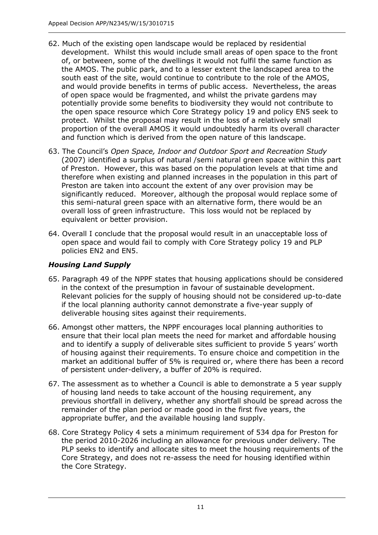- 62. Much of the existing open landscape would be replaced by residential development. Whilst this would include small areas of open space to the front of, or between, some of the dwellings it would not fulfil the same function as the AMOS. The public park, and to a lesser extent the landscaped area to the south east of the site, would continue to contribute to the role of the AMOS, and would provide benefits in terms of public access. Nevertheless, the areas of open space would be fragmented, and whilst the private gardens may potentially provide some benefits to biodiversity they would not contribute to the open space resource which Core Strategy policy 19 and policy EN5 seek to protect. Whilst the proposal may result in the loss of a relatively small proportion of the overall AMOS it would undoubtedly harm its overall character and function which is derived from the open nature of this landscape.
- 63. The Council's *Open Space, Indoor and Outdoor Sport and Recreation Study*  (2007) identified a surplus of natural /semi natural green space within this part of Preston. However, this was based on the population levels at that time and therefore when existing and planned increases in the population in this part of Preston are taken into account the extent of any over provision may be significantly reduced. Moreover, although the proposal would replace some of this semi-natural green space with an alternative form, there would be an overall loss of green infrastructure. This loss would not be replaced by equivalent or better provision.
- 64. Overall I conclude that the proposal would result in an unacceptable loss of open space and would fail to comply with Core Strategy policy 19 and PLP policies EN2 and EN5.

# *Housing Land Supply*

- 65. Paragraph 49 of the NPPF states that housing applications should be considered in the context of the presumption in favour of sustainable development. Relevant policies for the supply of housing should not be considered up-to-date if the local planning authority cannot demonstrate a five-year supply of deliverable housing sites against their requirements.
- 66. Amongst other matters, the NPPF encourages local planning authorities to ensure that their local plan meets the need for market and affordable housing and to identify a supply of deliverable sites sufficient to provide 5 years' worth of housing against their requirements. To ensure choice and competition in the market an additional buffer of 5% is required or, where there has been a record of persistent under-delivery, a buffer of 20% is required.
- 67. The assessment as to whether a Council is able to demonstrate a 5 year supply of housing land needs to take account of the housing requirement, any previous shortfall in delivery, whether any shortfall should be spread across the remainder of the plan period or made good in the first five years, the appropriate buffer, and the available housing land supply.
- 68. Core Strategy Policy 4 sets a minimum requirement of 534 dpa for Preston for the period 2010-2026 including an allowance for previous under delivery. The PLP seeks to identify and allocate sites to meet the housing requirements of the Core Strategy, and does not re-assess the need for housing identified within the Core Strategy.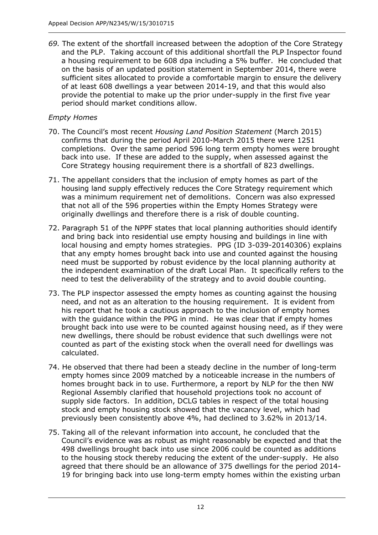*69.* The extent of the shortfall increased between the adoption of the Core Strategy and the PLP. Taking account of this additional shortfall the PLP Inspector found a housing requirement to be 608 dpa including a 5% buffer. He concluded that on the basis of an updated position statement in September 2014, there were sufficient sites allocated to provide a comfortable margin to ensure the delivery of at least 608 dwellings a year between 2014-19, and that this would also provide the potential to make up the prior under-supply in the first five year period should market conditions allow.

# *Empty Homes*

- 70. The Council's most recent *Housing Land Position Statement* (March 2015) confirms that during the period April 2010-March 2015 there were 1251 completions. Over the same period 596 long term empty homes were brought back into use. If these are added to the supply, when assessed against the Core Strategy housing requirement there is a shortfall of 823 dwellings.
- 71. The appellant considers that the inclusion of empty homes as part of the housing land supply effectively reduces the Core Strategy requirement which was a minimum requirement net of demolitions. Concern was also expressed that not all of the 596 properties within the Empty Homes Strategy were originally dwellings and therefore there is a risk of double counting.
- 72. Paragraph 51 of the NPPF states that local planning authorities should identify and bring back into residential use empty housing and buildings in line with local housing and empty homes strategies. PPG (ID 3-039-20140306) explains that any empty homes brought back into use and counted against the housing need must be supported by robust evidence by the local planning authority at the independent examination of the draft Local Plan. It specifically refers to the need to test the deliverability of the strategy and to avoid double counting.
- 73. The PLP inspector assessed the empty homes as counting against the housing need, and not as an alteration to the housing requirement. It is evident from his report that he took a cautious approach to the inclusion of empty homes with the guidance within the PPG in mind. He was clear that if empty homes brought back into use were to be counted against housing need, as if they were new dwellings, there should be robust evidence that such dwellings were not counted as part of the existing stock when the overall need for dwellings was calculated.
- 74. He observed that there had been a steady decline in the number of long-term empty homes since 2009 matched by a noticeable increase in the numbers of homes brought back in to use. Furthermore, a report by NLP for the then NW Regional Assembly clarified that household projections took no account of supply side factors. In addition, DCLG tables in respect of the total housing stock and empty housing stock showed that the vacancy level, which had previously been consistently above 4%, had declined to 3.62% in 2013/14.
- 75. Taking all of the relevant information into account, he concluded that the Council's evidence was as robust as might reasonably be expected and that the 498 dwellings brought back into use since 2006 could be counted as additions to the housing stock thereby reducing the extent of the under-supply. He also agreed that there should be an allowance of 375 dwellings for the period 2014- 19 for bringing back into use long-term empty homes within the existing urban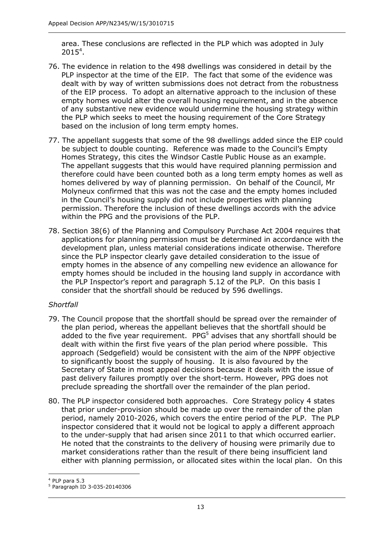area. These conclusions are reflected in the PLP which was adopted in July  $2015^4$ .

- 76. The evidence in relation to the 498 dwellings was considered in detail by the PLP inspector at the time of the EIP. The fact that some of the evidence was dealt with by way of written submissions does not detract from the robustness of the EIP process. To adopt an alternative approach to the inclusion of these empty homes would alter the overall housing requirement, and in the absence of any substantive new evidence would undermine the housing strategy within the PLP which seeks to meet the housing requirement of the Core Strategy based on the inclusion of long term empty homes.
- 77. The appellant suggests that some of the 98 dwellings added since the EIP could be subject to double counting. Reference was made to the Council's Empty Homes Strategy, this cites the Windsor Castle Public House as an example. The appellant suggests that this would have required planning permission and therefore could have been counted both as a long term empty homes as well as homes delivered by way of planning permission. On behalf of the Council, Mr Molyneux confirmed that this was not the case and the empty homes included in the Council's housing supply did not include properties with planning permission. Therefore the inclusion of these dwellings accords with the advice within the PPG and the provisions of the PLP.
- 78. Section 38(6) of the Planning and Compulsory Purchase Act 2004 requires that applications for planning permission must be determined in accordance with the development plan, unless material considerations indicate otherwise. Therefore since the PLP inspector clearly gave detailed consideration to the issue of empty homes in the absence of any compelling new evidence an allowance for empty homes should be included in the housing land supply in accordance with the PLP Inspector's report and paragraph 5.12 of the PLP. On this basis I consider that the shortfall should be reduced by 596 dwellings.

# *Shortfall*

- 79. The Council propose that the shortfall should be spread over the remainder of the plan period, whereas the appellant believes that the shortfall should be added to the five year requirement. PPG<sup>5</sup> advises that any shortfall should be dealt with within the first five years of the plan period where possible. This approach (Sedgefield) would be consistent with the aim of the NPPF objective to significantly boost the supply of housing. It is also favoured by the Secretary of State in most appeal decisions because it deals with the issue of past delivery failures promptly over the short-term. However, PPG does not preclude spreading the shortfall over the remainder of the plan period.
- 80. The PLP inspector considered both approaches. Core Strategy policy 4 states that prior under-provision should be made up over the remainder of the plan period, namely 2010-2026, which covers the entire period of the PLP. The PLP inspector considered that it would not be logical to apply a different approach to the under-supply that had arisen since 2011 to that which occurred earlier. He noted that the constraints to the delivery of housing were primarily due to market considerations rather than the result of there being insufficient land either with planning permission, or allocated sites within the local plan. On this

 $\overline{a}$ <sup>4</sup> PLP para 5.3

<sup>5</sup> Paragraph ID 3-035-20140306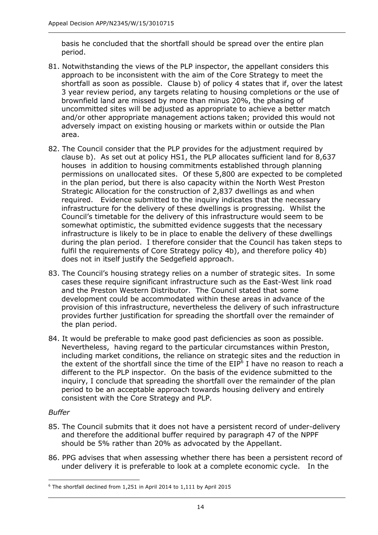basis he concluded that the shortfall should be spread over the entire plan period.

- 81. Notwithstanding the views of the PLP inspector, the appellant considers this approach to be inconsistent with the aim of the Core Strategy to meet the shortfall as soon as possible. Clause b) of policy 4 states that if, over the latest 3 year review period, any targets relating to housing completions or the use of brownfield land are missed by more than minus 20%, the phasing of uncommitted sites will be adjusted as appropriate to achieve a better match and/or other appropriate management actions taken; provided this would not adversely impact on existing housing or markets within or outside the Plan area.
- 82. The Council consider that the PLP provides for the adjustment required by clause b). As set out at policy HS1, the PLP allocates sufficient land for 8,637 houses in addition to housing commitments established through planning permissions on unallocated sites. Of these 5,800 are expected to be completed in the plan period, but there is also capacity within the North West Preston Strategic Allocation for the construction of 2,837 dwellings as and when required. Evidence submitted to the inquiry indicates that the necessary infrastructure for the delivery of these dwellings is progressing. Whilst the Council's timetable for the delivery of this infrastructure would seem to be somewhat optimistic, the submitted evidence suggests that the necessary infrastructure is likely to be in place to enable the delivery of these dwellings during the plan period. I therefore consider that the Council has taken steps to fulfil the requirements of Core Strategy policy 4b), and therefore policy 4b) does not in itself justify the Sedgefield approach.
- 83. The Council's housing strategy relies on a number of strategic sites. In some cases these require significant infrastructure such as the East-West link road and the Preston Western Distributor. The Council stated that some development could be accommodated within these areas in advance of the provision of this infrastructure, nevertheless the delivery of such infrastructure provides further justification for spreading the shortfall over the remainder of the plan period.
- 84. It would be preferable to make good past deficiencies as soon as possible. Nevertheless, having regard to the particular circumstances within Preston, including market conditions, the reliance on strategic sites and the reduction in the extent of the shortfall since the time of the EIP<sup>6</sup> I have no reason to reach a different to the PLP inspector. On the basis of the evidence submitted to the inquiry, I conclude that spreading the shortfall over the remainder of the plan period to be an acceptable approach towards housing delivery and entirely consistent with the Core Strategy and PLP.

# *Buffer*

- 85. The Council submits that it does not have a persistent record of under-delivery and therefore the additional buffer required by paragraph 47 of the NPPF should be 5% rather than 20% as advocated by the Appellant.
- 86. PPG advises that when assessing whether there has been a persistent record of under delivery it is preferable to look at a complete economic cycle. In the

 $\overline{a}$ <sup>6</sup> The shortfall declined from 1,251 in April 2014 to 1,111 by April 2015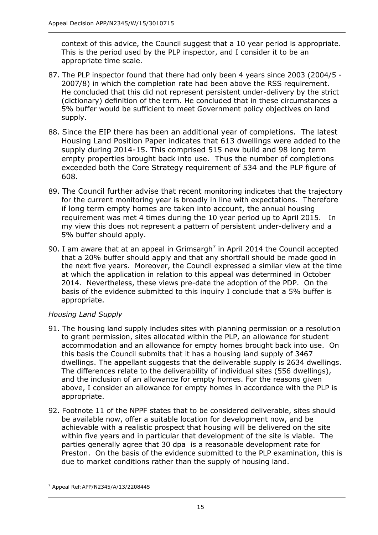context of this advice, the Council suggest that a 10 year period is appropriate. This is the period used by the PLP inspector, and I consider it to be an appropriate time scale.

- 87. The PLP inspector found that there had only been 4 years since 2003 (2004/5 2007/8) in which the completion rate had been above the RSS requirement. He concluded that this did not represent persistent under-delivery by the strict (dictionary) definition of the term. He concluded that in these circumstances a 5% buffer would be sufficient to meet Government policy objectives on land supply.
- 88. Since the EIP there has been an additional year of completions. The latest Housing Land Position Paper indicates that 613 dwellings were added to the supply during 2014-15. This comprised 515 new build and 98 long term empty properties brought back into use. Thus the number of completions exceeded both the Core Strategy requirement of 534 and the PLP figure of 608.
- 89. The Council further advise that recent monitoring indicates that the trajectory for the current monitoring year is broadly in line with expectations. Therefore if long term empty homes are taken into account, the annual housing requirement was met 4 times during the 10 year period up to April 2015. In my view this does not represent a pattern of persistent under-delivery and a 5% buffer should apply.
- 90. I am aware that at an appeal in Grimsargh<sup>7</sup> in April 2014 the Council accepted that a 20% buffer should apply and that any shortfall should be made good in the next five years. Moreover, the Council expressed a similar view at the time at which the application in relation to this appeal was determined in October 2014. Nevertheless, these views pre-date the adoption of the PDP. On the basis of the evidence submitted to this inquiry I conclude that a 5% buffer is appropriate.

# *Housing Land Supply*

- 91. The housing land supply includes sites with planning permission or a resolution to grant permission, sites allocated within the PLP, an allowance for student accommodation and an allowance for empty homes brought back into use. On this basis the Council submits that it has a housing land supply of 3467 dwellings. The appellant suggests that the deliverable supply is 2634 dwellings. The differences relate to the deliverability of individual sites (556 dwellings), and the inclusion of an allowance for empty homes. For the reasons given above, I consider an allowance for empty homes in accordance with the PLP is appropriate.
- 92. Footnote 11 of the NPPF states that to be considered deliverable, sites should be available now, offer a suitable location for development now, and be achievable with a realistic prospect that housing will be delivered on the site within five years and in particular that development of the site is viable. The parties generally agree that 30 dpa is a reasonable development rate for Preston. On the basis of the evidence submitted to the PLP examination, this is due to market conditions rather than the supply of housing land.

 $\overline{a}$ <sup>7</sup> Appeal Ref:APP/N2345/A/13/2208445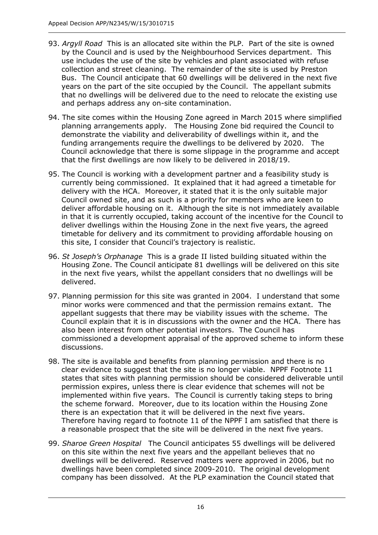- 93. *Argyll Road* This is an allocated site within the PLP. Part of the site is owned by the Council and is used by the Neighbourhood Services department. This use includes the use of the site by vehicles and plant associated with refuse collection and street cleaning. The remainder of the site is used by Preston Bus. The Council anticipate that 60 dwellings will be delivered in the next five years on the part of the site occupied by the Council. The appellant submits that no dwellings will be delivered due to the need to relocate the existing use and perhaps address any on-site contamination.
- 94. The site comes within the Housing Zone agreed in March 2015 where simplified planning arrangements apply. The Housing Zone bid required the Council to demonstrate the viability and deliverability of dwellings within it, and the funding arrangements require the dwellings to be delivered by 2020. The Council acknowledge that there is some slippage in the programme and accept that the first dwellings are now likely to be delivered in 2018/19.
- 95. The Council is working with a development partner and a feasibility study is currently being commissioned. It explained that it had agreed a timetable for delivery with the HCA. Moreover, it stated that it is the only suitable major Council owned site, and as such is a priority for members who are keen to deliver affordable housing on it. Although the site is not immediately available in that it is currently occupied, taking account of the incentive for the Council to deliver dwellings within the Housing Zone in the next five years, the agreed timetable for delivery and its commitment to providing affordable housing on this site, I consider that Council's trajectory is realistic.
- 96. *St Joseph's Orphanage* This is a grade II listed building situated within the Housing Zone. The Council anticipate 81 dwellings will be delivered on this site in the next five years, whilst the appellant considers that no dwellings will be delivered.
- 97. Planning permission for this site was granted in 2004. I understand that some minor works were commenced and that the permission remains extant. The appellant suggests that there may be viability issues with the scheme. The Council explain that it is in discussions with the owner and the HCA. There has also been interest from other potential investors. The Council has commissioned a development appraisal of the approved scheme to inform these discussions.
- 98. The site is available and benefits from planning permission and there is no clear evidence to suggest that the site is no longer viable. NPPF Footnote 11 states that sites with planning permission should be considered deliverable until permission expires, unless there is clear evidence that schemes will not be implemented within five years. The Council is currently taking steps to bring the scheme forward. Moreover, due to its location within the Housing Zone there is an expectation that it will be delivered in the next five years. Therefore having regard to footnote 11 of the NPPF I am satisfied that there is a reasonable prospect that the site will be delivered in the next five years.
- 99. *Sharoe Green Hospital* The Council anticipates 55 dwellings will be delivered on this site within the next five years and the appellant believes that no dwellings will be delivered. Reserved matters were approved in 2006, but no dwellings have been completed since 2009-2010. The original development company has been dissolved. At the PLP examination the Council stated that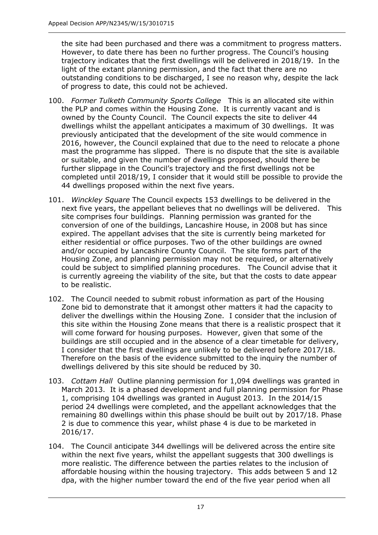the site had been purchased and there was a commitment to progress matters. However, to date there has been no further progress. The Council's housing trajectory indicates that the first dwellings will be delivered in 2018/19. In the light of the extant planning permission, and the fact that there are no outstanding conditions to be discharged, I see no reason why, despite the lack of progress to date, this could not be achieved.

- 100. *Former Tulketh Community Sports College* This is an allocated site within the PLP and comes within the Housing Zone. It is currently vacant and is owned by the County Council. The Council expects the site to deliver 44 dwellings whilst the appellant anticipates a maximum of 30 dwellings. It was previously anticipated that the development of the site would commence in 2016, however, the Council explained that due to the need to relocate a phone mast the programme has slipped. There is no dispute that the site is available or suitable, and given the number of dwellings proposed, should there be further slippage in the Council's trajectory and the first dwellings not be completed until 2018/19, I consider that it would still be possible to provide the 44 dwellings proposed within the next five years.
- 101. *Winckley Square* The Council expects 153 dwellings to be delivered in the next five years, the appellant believes that no dwellings will be delivered. This site comprises four buildings. Planning permission was granted for the conversion of one of the buildings, Lancashire House, in 2008 but has since expired. The appellant advises that the site is currently being marketed for either residential or office purposes. Two of the other buildings are owned and/or occupied by Lancashire County Council. The site forms part of the Housing Zone, and planning permission may not be required, or alternatively could be subject to simplified planning procedures. The Council advise that it is currently agreeing the viability of the site, but that the costs to date appear to be realistic.
- 102. The Council needed to submit robust information as part of the Housing Zone bid to demonstrate that it amongst other matters it had the capacity to deliver the dwellings within the Housing Zone. I consider that the inclusion of this site within the Housing Zone means that there is a realistic prospect that it will come forward for housing purposes. However, given that some of the buildings are still occupied and in the absence of a clear timetable for delivery, I consider that the first dwellings are unlikely to be delivered before 2017/18. Therefore on the basis of the evidence submitted to the inquiry the number of dwellings delivered by this site should be reduced by 30.
- 103. *Cottam Hall* Outline planning permission for 1,094 dwellings was granted in March 2013. It is a phased development and full planning permission for Phase 1, comprising 104 dwellings was granted in August 2013. In the 2014/15 period 24 dwellings were completed, and the appellant acknowledges that the remaining 80 dwellings within this phase should be built out by 2017/18. Phase 2 is due to commence this year, whilst phase 4 is due to be marketed in 2016/17.
- 104. The Council anticipate 344 dwellings will be delivered across the entire site within the next five years, whilst the appellant suggests that 300 dwellings is more realistic. The difference between the parties relates to the inclusion of affordable housing within the housing trajectory. This adds between 5 and 12 dpa, with the higher number toward the end of the five year period when all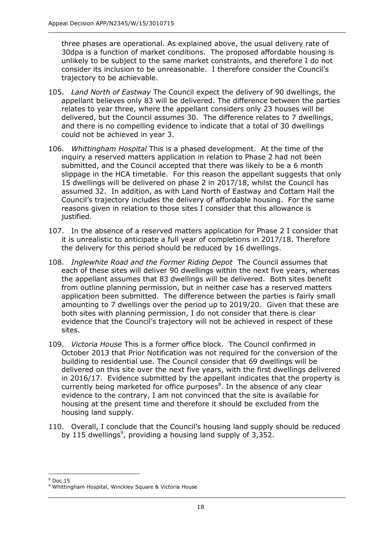three phases are operational. As explained above, the usual delivery rate of 30dpa is a function of market conditions. The proposed affordable housing is unlikely to be subject to the same market constraints, and therefore I do not consider its inclusion to be unreasonable. I therefore consider the Council's trajectory to be achievable.

- 105. *Land North of Eastway* The Council expect the delivery of 90 dwellings, the appellant believes only 83 will be delivered. The difference between the parties relates to year three, where the appellant considers only 23 houses will be delivered, but the Council assumes 30. The difference relates to 7 dwellings, and there is no compelling evidence to indicate that a total of 30 dwellings could not be achieved in year 3.
- 106. *Whittingham Hospital* This is a phased development. At the time of the inquiry a reserved matters application in relation to Phase 2 had not been submitted, and the Council accepted that there was likely to be a 6 month slippage in the HCA timetable. For this reason the appellant suggests that only 15 dwellings will be delivered on phase 2 in 2017/18, whilst the Council has assumed 32. In addition, as with Land North of Eastway and Cottam Hall the Council's trajectory includes the delivery of affordable housing. For the same reasons given in relation to those sites I consider that this allowance is justified.
- 107. In the absence of a reserved matters application for Phase 2 I consider that it is unrealistic to anticipate a full year of completions in 2017/18. Therefore the delivery for this period should be reduced by 16 dwellings.
- 108. *Inglewhite Road and the Former Riding Depot* The Council assumes that each of these sites will deliver 90 dwellings within the next five years, whereas the appellant assumes that 83 dwellings will be delivered. Both sites benefit from outline planning permission, but in neither case has a reserved matters application been submitted. The difference between the parties is fairly small amounting to 7 dwellings over the period up to 2019/20. Given that these are both sites with planning permission, I do not consider that there is clear evidence that the Council's trajectory will not be achieved in respect of these sites.
- 109. *Victoria House* This is a former office block. The Council confirmed in October 2013 that Prior Notification was not required for the conversion of the building to residential use. The Council consider that 69 dwellings will be delivered on this site over the next five years, with the first dwellings delivered in 2016/17. Evidence submitted by the appellant indicates that the property is currently being marketed for office purposes ${}^{8}$ . In the absence of any clear evidence to the contrary, I am not convinced that the site is available for housing at the present time and therefore it should be excluded from the housing land supply.
- 110. Overall, I conclude that the Council's housing land supply should be reduced by 115 dwellings<sup>9</sup>, providing a housing land supply of  $3,352$ .

 $\overline{a}$  $8$  Doc 15

<sup>&</sup>lt;sup>9</sup> Whittingham Hospital, Winckley Square & Victoria House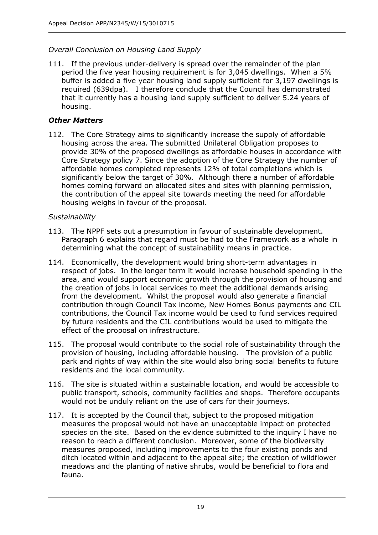# *Overall Conclusion on Housing Land Supply*

111. If the previous under-delivery is spread over the remainder of the plan period the five year housing requirement is for 3,045 dwellings. When a 5% buffer is added a five year housing land supply sufficient for 3,197 dwellings is required (639dpa). I therefore conclude that the Council has demonstrated that it currently has a housing land supply sufficient to deliver 5.24 years of housing.

# *Other Matters*

112. The Core Strategy aims to significantly increase the supply of affordable housing across the area. The submitted Unilateral Obligation proposes to provide 30% of the proposed dwellings as affordable houses in accordance with Core Strategy policy 7. Since the adoption of the Core Strategy the number of affordable homes completed represents 12% of total completions which is significantly below the target of 30%. Although there a number of affordable homes coming forward on allocated sites and sites with planning permission, the contribution of the appeal site towards meeting the need for affordable housing weighs in favour of the proposal.

# *Sustainability*

- 113. The NPPF sets out a presumption in favour of sustainable development. Paragraph 6 explains that regard must be had to the Framework as a whole in determining what the concept of sustainability means in practice.
- 114. Economically, the development would bring short-term advantages in respect of jobs. In the longer term it would increase household spending in the area, and would support economic growth through the provision of housing and the creation of jobs in local services to meet the additional demands arising from the development. Whilst the proposal would also generate a financial contribution through Council Tax income, New Homes Bonus payments and CIL contributions, the Council Tax income would be used to fund services required by future residents and the CIL contributions would be used to mitigate the effect of the proposal on infrastructure.
- 115. The proposal would contribute to the social role of sustainability through the provision of housing, including affordable housing. The provision of a public park and rights of way within the site would also bring social benefits to future residents and the local community.
- 116. The site is situated within a sustainable location, and would be accessible to public transport, schools, community facilities and shops. Therefore occupants would not be unduly reliant on the use of cars for their journeys.
- 117. It is accepted by the Council that, subject to the proposed mitigation measures the proposal would not have an unacceptable impact on protected species on the site. Based on the evidence submitted to the inquiry I have no reason to reach a different conclusion. Moreover, some of the biodiversity measures proposed, including improvements to the four existing ponds and ditch located within and adjacent to the appeal site; the creation of wildflower meadows and the planting of native shrubs, would be beneficial to flora and fauna.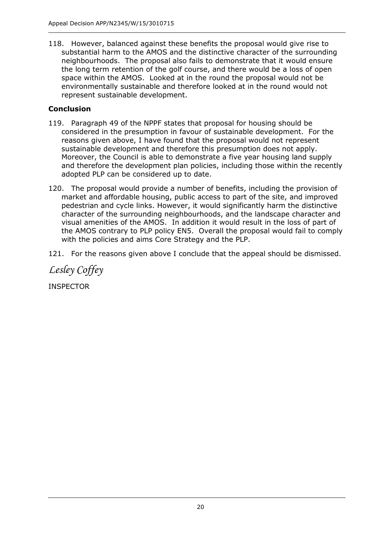118. However, balanced against these benefits the proposal would give rise to substantial harm to the AMOS and the distinctive character of the surrounding neighbourhoods. The proposal also fails to demonstrate that it would ensure the long term retention of the golf course, and there would be a loss of open space within the AMOS. Looked at in the round the proposal would not be environmentally sustainable and therefore looked at in the round would not represent sustainable development.

# **Conclusion**

- 119. Paragraph 49 of the NPPF states that proposal for housing should be considered in the presumption in favour of sustainable development. For the reasons given above, I have found that the proposal would not represent sustainable development and therefore this presumption does not apply. Moreover, the Council is able to demonstrate a five year housing land supply and therefore the development plan policies, including those within the recently adopted PLP can be considered up to date.
- 120. The proposal would provide a number of benefits, including the provision of market and affordable housing, public access to part of the site, and improved pedestrian and cycle links. However, it would significantly harm the distinctive character of the surrounding neighbourhoods, and the landscape character and visual amenities of the AMOS. In addition it would result in the loss of part of the AMOS contrary to PLP policy EN5. Overall the proposal would fail to comply with the policies and aims Core Strategy and the PLP.
- 121. For the reasons given above I conclude that the appeal should be dismissed.

*Lesley Coffey* 

INSPECTOR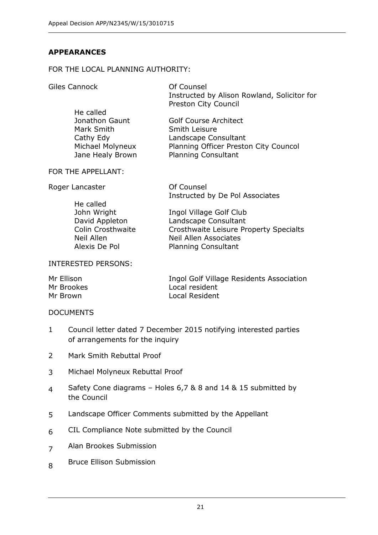# **APPEARANCES**

#### FOR THE LOCAL PLANNING AUTHORITY:

Giles Cannock **Of Counsel** 

Instructed by Alison Rowland, Solicitor for Preston City Council

Jonathon Gaunt Mark Smith Cathy Edy Michael Molyneux Jane Healy Brown Golf Course Architect Smith Leisure Landscape Consultant Planning Officer Preston City Councol Planning Consultant

#### FOR THE APPELLANT:

He called

Roger Lancaster **Counsel** 

Instructed by De Pol Associates

He called John Wright David Appleton Colin Crosthwaite Neil Allen Alexis De Pol Ingol Village Golf Club Landscape Consultant Crosthwaite Leisure Property Specialts Neil Allen Associates Planning Consultant

#### INTERESTED PERSONS:

| Mr Ellison | Ingol Golf Village Residents Association |
|------------|------------------------------------------|
| Mr Brookes | Local resident                           |
| Mr Brown   | Local Resident                           |

#### DOCUMENTS

- 1 Council letter dated 7 December 2015 notifying interested parties of arrangements for the inquiry
- 2 Mark Smith Rebuttal Proof
- 3 Michael Molyneux Rebuttal Proof
- 4 Safety Cone diagrams – Holes 6,7 & 8 and 14 & 15 submitted by the Council
- 5 Landscape Officer Comments submitted by the Appellant
- 6 CIL Compliance Note submitted by the Council
- 7 Alan Brookes Submission
- 8 Bruce Ellison Submission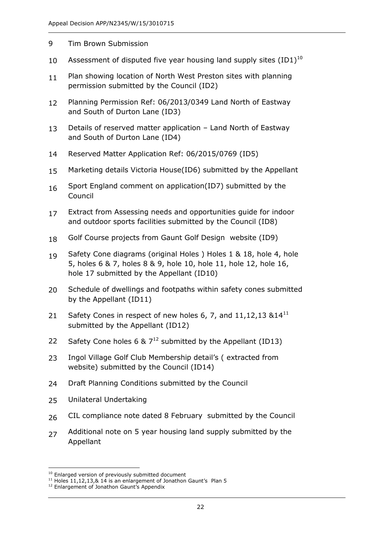- 9 Tim Brown Submission
- 10 Assessment of disputed five year housing land supply sites  $(ID1)^{10}$
- 11 Plan showing location of North West Preston sites with planning permission submitted by the Council (ID2)
- 12 Planning Permission Ref: 06/2013/0349 Land North of Eastway and South of Durton Lane (ID3)
- 13 Details of reserved matter application – Land North of Eastway and South of Durton Lane (ID4)
- 14 Reserved Matter Application Ref: 06/2015/0769 (ID5)
- 15 Marketing details Victoria House(ID6) submitted by the Appellant
- 16 Sport England comment on application(ID7) submitted by the Council
- 17 Extract from Assessing needs and opportunities guide for indoor and outdoor sports facilities submitted by the Council (ID8)
- 18 Golf Course projects from Gaunt Golf Design website (ID9)
- 19 Safety Cone diagrams (original Holes ) Holes 1 & 18, hole 4, hole 5, holes 6 & 7, holes 8 & 9, hole 10, hole 11, hole 12, hole 16, hole 17 submitted by the Appellant (ID10)
- 20 Schedule of dwellings and footpaths within safety cones submitted by the Appellant (ID11)
- 21 Safety Cones in respect of new holes 6, 7, and  $11,12,13$   $&14$ <sup>11</sup> submitted by the Appellant (ID12)
- 22 Safety Cone holes 6 &  $7^{12}$  submitted by the Appellant (ID13)
- 23 Ingol Village Golf Club Membership detail's ( extracted from website) submitted by the Council (ID14)
- 24 Draft Planning Conditions submitted by the Council
- 25 Unilateral Undertaking
- 26 CIL compliance note dated 8 February submitted by the Council
- 27 Additional note on 5 year housing land supply submitted by the Appellant

 $\overline{a}$ <sup>10</sup> Enlarged version of previously submitted document

 $11$  Holes 11,12,13,& 14 is an enlargement of Jonathon Gaunt's Plan 5

<sup>&</sup>lt;sup>12</sup> Enlargement of Jonathon Gaunt's Appendix